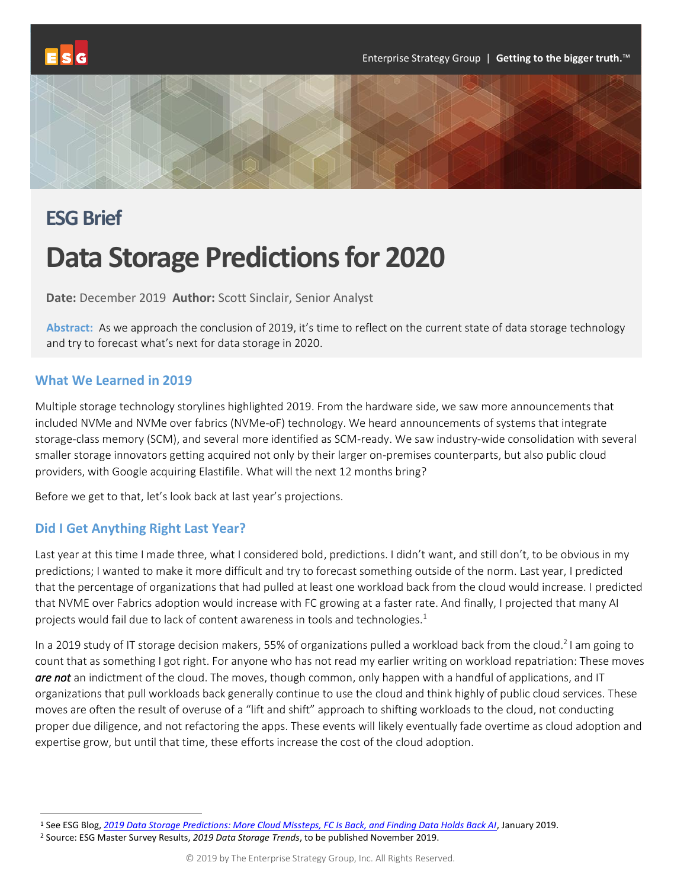

# **ESG Brief Data Storage Predictions for 2020**

**Date:** December 2019 **Author:** Scott Sinclair, Senior Analyst

**Abstract:** As we approach the conclusion of 2019, it's time to reflect on the current state of data storage technology and try to forecast what's next for data storage in 2020.

#### **What We Learned in 2019**

Multiple storage technology storylines highlighted 2019. From the hardware side, we saw more announcements that included NVMe and NVMe over fabrics (NVMe-oF) technology. We heard announcements of systems that integrate storage-class memory (SCM), and several more identified as SCM-ready. We saw industry-wide consolidation with several smaller storage innovators getting acquired not only by their larger on-premises counterparts, but also public cloud providers, with Google acquiring Elastifile. What will the next 12 months bring?

Before we get to that, let's look back at last year's projections.

#### **Did I Get Anything Right Last Year?**

Last year at this time I made three, what I considered bold, predictions. I didn't want, and still don't, to be obvious in my predictions; I wanted to make it more difficult and try to forecast something outside of the norm. Last year, I predicted that the percentage of organizations that had pulled at least one workload back from the cloud would increase. I predicted that NVME over Fabrics adoption would increase with FC growing at a faster rate. And finally, I projected that many AI projects would fail due to lack of content awareness in tools and technologies. 1

In a 2019 study of IT storage decision makers, 55% of organizations pulled a workload back from the cloud.<sup>2</sup> I am going to count that as something I got right. For anyone who has not read my earlier writing on workload repatriation: These moves *are not* an indictment of the cloud. The moves, though common, only happen with a handful of applications, and IT organizations that pull workloads back generally continue to use the cloud and think highly of public cloud services. These moves are often the result of overuse of a "lift and shift" approach to shifting workloads to the cloud, not conducting proper due diligence, and not refactoring the apps. These events will likely eventually fade overtime as cloud adoption and expertise grow, but until that time, these efforts increase the cost of the cloud adoption.

<sup>1</sup> See ESG Blog, *[2019 Data Storage Predictions: More Cloud Missteps, FC Is Back, and Finding Data Holds Back AI](https://www.esg-global.com/blog/2019-data-storage-predictions-more-cloud-missteps-fc-is-back-and-finding-data-holds-back-ai)*, January 2019.

<sup>2</sup> Source: ESG Master Survey Results, *2019 Data Storage Trends*, to be published November 2019.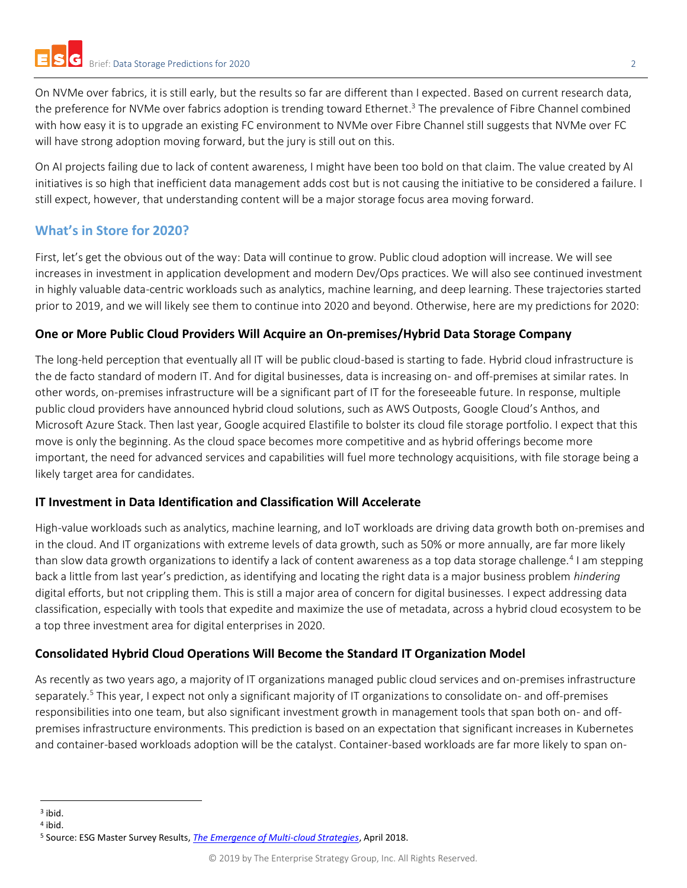On NVMe over fabrics, it is still early, but the results so far are different than I expected. Based on current research data, the preference for NVMe over fabrics adoption is trending toward Ethernet.<sup>3</sup> The prevalence of Fibre Channel combined with how easy it is to upgrade an existing FC environment to NVMe over Fibre Channel still suggests that NVMe over FC will have strong adoption moving forward, but the jury is still out on this.

On AI projects failing due to lack of content awareness, I might have been too bold on that claim. The value created by AI initiatives is so high that inefficient data management adds cost but is not causing the initiative to be considered a failure. I still expect, however, that understanding content will be a major storage focus area moving forward.

# **What's in Store for 2020?**

First, let's get the obvious out of the way: Data will continue to grow. Public cloud adoption will increase. We will see increases in investment in application development and modern Dev/Ops practices. We will also see continued investment in highly valuable data-centric workloads such as analytics, machine learning, and deep learning. These trajectories started prior to 2019, and we will likely see them to continue into 2020 and beyond. Otherwise, here are my predictions for 2020:

## **One or More Public Cloud Providers Will Acquire an On-premises/Hybrid Data Storage Company**

The long-held perception that eventually all IT will be public cloud-based is starting to fade. Hybrid cloud infrastructure is the de facto standard of modern IT. And for digital businesses, data is increasing on- and off-premises at similar rates. In other words, on-premises infrastructure will be a significant part of IT for the foreseeable future. In response, multiple public cloud providers have announced hybrid cloud solutions, such as AWS Outposts, Google Cloud's Anthos, and Microsoft Azure Stack. Then last year, Google acquired Elastifile to bolster its cloud file storage portfolio. I expect that this move is only the beginning. As the cloud space becomes more competitive and as hybrid offerings become more important, the need for advanced services and capabilities will fuel more technology acquisitions, with file storage being a likely target area for candidates.

### **IT Investment in Data Identification and Classification Will Accelerate**

High-value workloads such as analytics, machine learning, and IoT workloads are driving data growth both on-premises and in the cloud. And IT organizations with extreme levels of data growth, such as 50% or more annually, are far more likely than slow data growth organizations to identify a lack of content awareness as a top data storage challenge.<sup>4</sup> I am stepping back a little from last year's prediction, as identifying and locating the right data is a major business problem *hindering* digital efforts, but not crippling them. This is still a major area of concern for digital businesses. I expect addressing data classification, especially with tools that expedite and maximize the use of metadata, across a hybrid cloud ecosystem to be a top three investment area for digital enterprises in 2020.

# **Consolidated Hybrid Cloud Operations Will Become the Standard IT Organization Model**

As recently as two years ago, a majority of IT organizations managed public cloud services and on-premises infrastructure separately.<sup>5</sup> This year, I expect not only a significant majority of IT organizations to consolidate on- and off-premises responsibilities into one team, but also significant investment growth in management tools that span both on- and offpremises infrastructure environments. This prediction is based on an expectation that significant increases in Kubernetes and container-based workloads adoption will be the catalyst. Container-based workloads are far more likely to span on-

<sup>3</sup> ibid.

<sup>4</sup> ibid.

<sup>5</sup> Source: ESG Master Survey Results, *[The Emergence of Multi-cloud Strategies](https://research.esg-global.com/reportaction/TheEmergenceofMulticloudStrategies/Toc)*, April 2018.